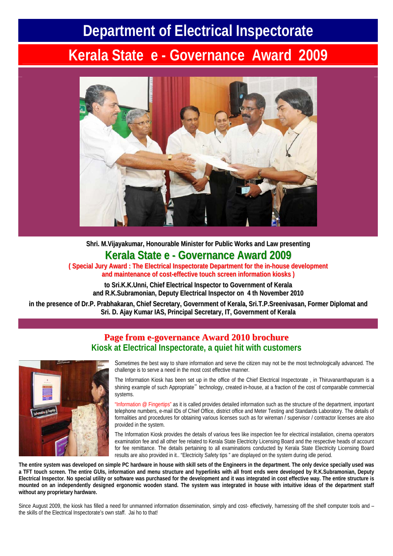## **Department of Electrical Inspectorate**

# **Kerala State e - Governance Award 2009**



**Shri. M.Vijayakumar, Honourable Minister for Public Works and Law presenting Kerala State e - Governance Award 2009**

**( Special Jury Award : The Electrical Inspectorate Department for the in-house development and maintenance of cost-effective touch screen information kiosks )**

**to Sri.K.K.Unni, Chief Electrical Inspector to Government of Kerala and R.K.Subramonian, Deputy Electrical Inspectoron 4 th November 2010**

**in the presence of Dr.P. Prabhakaran, Chief Secretary, Government of Kerala, Sri.T.P.Sreenivasan, Former Diplomat and Sri. D. Ajay Kumar IAS, Principal Secretary, IT, Government of Kerala**

### **Page from e-governance Award 2010 brochure Kiosk at Electrical Inspectorate, a quiet hit with customers**



Sometimes the best way to share information and serve the citizen may not be the most technologically advanced. The challenge is to serve a need in the most cost effective manner.

The Information Kiosk has been set up in the office of the Chief Electrical Inspectorate , in Thiruvananthapuram is a shining example of such Appropriate" technology, created in-house, at a fraction of the cost of comparable commercial systems.

"Information @ Fingertips" as it is called provides detailed information such as the structure of the department, important telephone numbers, e-mail IDs of Chief Office, district office and Meter Testing and Standards Laboratory. The details of formalities and procedures for obtaining various licenses such as for wireman / supervisor / contractor licenses are also provided in the system.

The Information Kiosk provides the details of various fees like inspection fee for electrical installation, cinema operators examination fee and all other fee related to Kerala State Electricity Licensing Board and the respective heads of account for fee remittance. The details pertaining to all examinations conducted by Kerala State Electricity Licensing Board results are also provided in it.. "Electricity Safety tips " are displayed on the system during idle period.

**The entire system was developed on simple PC hardware in house with skill sets of the Engineers in the department. The only device specially used was a TFT touch screen. The entire GUIs, information and menu structure and hyperlinks with all front ends were developed by R.K.Subramonian, Deputy Electrical Inspector. No special utility or software was purchased for the development and it was integrated in cost effective way. The entire structure is mounted on an independently designed ergonomic wooden stand. The system was integrated in house with intuitive ideas of the department staff without any proprietary hardware.** 

Since August 2009, the kiosk has filled a need for unmanned information dissemination, simply and cost- effectively, harnessing off the shelf computer tools and the skills of the Electrical Inspectorate's own staff. Jai ho to that!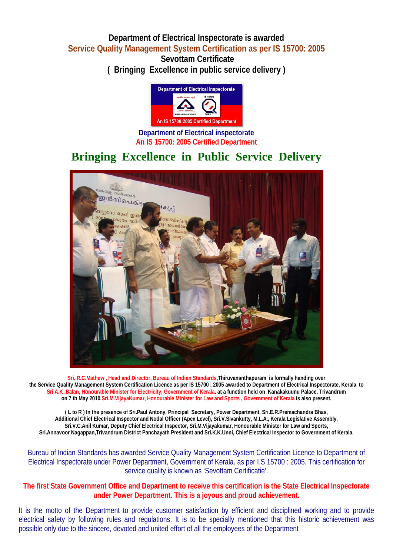#### **Department of Electrical Inspectorate is awarded Service Quality Management System Certification as per IS 15700: 2005**

**Sevottam Certificate ( Bringing Excellence in public service delivery )** 



**Department of Electrical inspectorate An IS 15700: 2005 Certified Department** 

## **Bringing Excellence in Public Service Delivery**



**Sri. R.C.Mathew , Head and Director, Bureau of Indian Standards,Thiruvananthapuram is formally handing over the Service Quality Management System Certification Licence as per IS 15700 : 2005 awarded to Department of Electrical Inspectorate, Kerala to Sri A.K .Balan, Honourable Minister for Electricity, Government of Kerala. at a function held on Kanakakuunu Palace, Trivandrum on 7 th May 2010.Sri.M.VijayaKumar, Honourable Minister for Law and Sports , Government of Kerala is also present.** 

**( L to R ) In the presence of Sri.Paul Antony, Principal Secretary, Power Department, Sri.E.R.Premachandra Bhas, Additional Chief Electrical Inspector and Nodal Officer (Apex Level), Sri.V.Sivankutty, M.L.A., Kerala Legislative Assembly, Sri.V.C.Anil Kumar, Deputy Chief Electrical Inspector, Sri.M.Vijayakumar, Honourable Minister for Law and Sports, Sri.Annavoor Nagappan,Trivandrum District Panchayath President and Sri.K.K.Unni, Chief Electrical Inspector to Government of Kerala.** 

Bureau of Indian Standards has awarded Service Quality Management System Certification Licence to Department of Electrical Inspectorate under Power Department, Government of Kerala. as per I.S 15700 : 2005. This certification for service quality is known as 'Sevottam Certificatie'.

#### **The first State Government Office and Department to receive this certification is the State Electrical Inspectorate under Power Department. This is a joyous and proud achievement.**

It is the motto of the Department to provide customer satisfaction by efficient and disciplined working and to provide electrical safety by following rules and regulations. It is to be specially mentioned that this historic achievement was possible only due to the sincere, devoted and united effort of all the employees of the Department